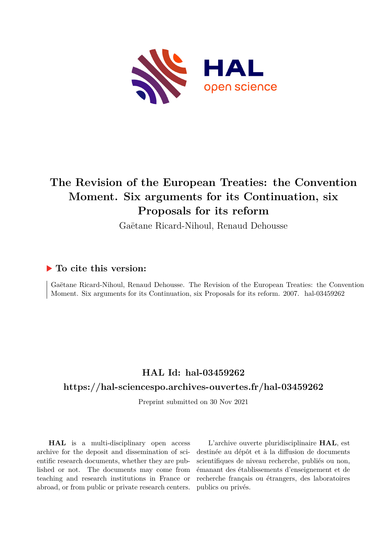

# **The Revision of the European Treaties: the Convention Moment. Six arguments for its Continuation, six Proposals for its reform**

Gaëtane Ricard-Nihoul, Renaud Dehousse

# **To cite this version:**

Gaëtane Ricard-Nihoul, Renaud Dehousse. The Revision of the European Treaties: the Convention Moment. Six arguments for its Continuation, six Proposals for its reform. 2007. hal-03459262

# **HAL Id: hal-03459262**

# **<https://hal-sciencespo.archives-ouvertes.fr/hal-03459262>**

Preprint submitted on 30 Nov 2021

**HAL** is a multi-disciplinary open access archive for the deposit and dissemination of scientific research documents, whether they are published or not. The documents may come from teaching and research institutions in France or abroad, or from public or private research centers.

L'archive ouverte pluridisciplinaire **HAL**, est destinée au dépôt et à la diffusion de documents scientifiques de niveau recherche, publiés ou non, émanant des établissements d'enseignement et de recherche français ou étrangers, des laboratoires publics ou privés.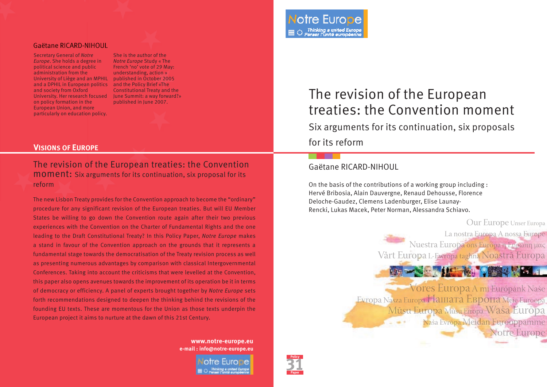#### Gaëtane RICARD-NIHOUL

Secretary General of *Notre Europe*. She holds a degree in political science and public administration from the University of Liège and an MPHIL published in October 2005 and a DPHIL in European politics and the Policy Brief «The and society from Oxford University. Her research focused June Summit: a way forward?» on policy formation in the European Union, and more particularly on education policy.

She is the author of the *Notre Europe* Study « The French 'no' vote of 29 May: understanding, action » Constitutional Treaty and the

#### **VISIONS OF EUROPE**

The revision of the European treaties: the Convention moment: Six arguments for its continuation, six proposal for its reform

The new Lisbon Treaty provides for the Convention approach to become the "ordinary" procedure for any significant revision of the European treaties. But will EU Member States be willing to go down the Convention route again after their two previous experiences with the Convention on the Charter of Fundamental Rights and the one leading to the Draft Constitutional Treaty? In this Policy Paper, *Notre Europe* makes a stand in favour of the Convention approach on the grounds that it represents a fundamental stage towards the democratisation of the Treaty revision process as well as presenting numerous advantages by comparison with classical Intergovernmental Conferences. Taking into account the criticisms that were levelled at the Convention, this paper also opens avenues towards the improvement of its operation be it in terms of democracy or efficiency. A panel of experts brought together by *Notre Europe* sets forth recommendations designed to deepen the thinking behind the revisions of the founding EU texts. These are momentous for the Union as those texts underpin the European project it aims to nurture at the dawn of this 21st Century.

> **www.notre-europe.eu e-mail : info@notre-europe.eu**

# Constitutional Treaty and the Currency and the Currency and the constitutional Treaty and the currency of the European published in June 2007. treaties: the Convention moment

Six arguments for its continuation, six proposals for its reform

# Gaëtane RICARD-NIHOUL

On the basis of the contributions of a working group including : Hervé Bribosia, Alain Dauvergne, Renaud Dehousse, Florence Deloche-Gaudez, Clemens Ladenburger, Elise Launay-Rencki, Lukas Macek, Peter Norman, Alessandra Schiavo.



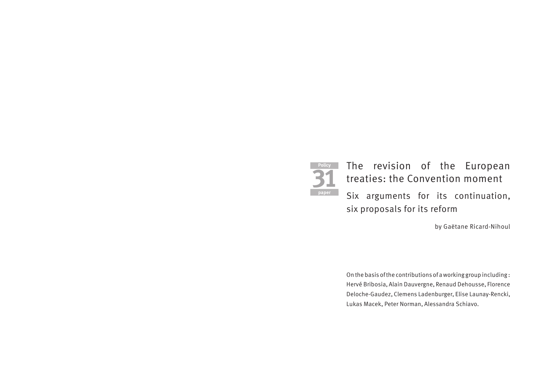

# The revision of the European treaties: the Convention moment Six arguments for its continuation, six proposals for its reform

by Gaëtane Ricard-Nihoul

On the basis of the contributions of a working group including : Hervé Bribosia, Alain Dauvergne, Renaud Dehousse, Florence Deloche-Gaudez, Clemens Ladenburger, Elise Launay-Rencki, Lukas Macek, Peter Norman, Alessandra Schiavo.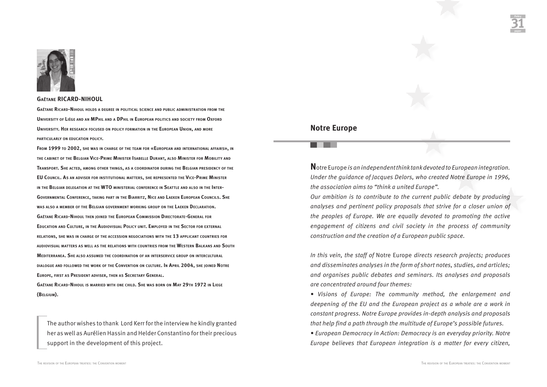

#### **GAËTANE RICARD-NIHOUL**

**GAËTANE RICARD-NIHOUL HOLDS A DEGREE IN POLITICAL SCIENCE AND PUBLIC ADMINISTRATION FROM THE UNIVERSITY OF LIÈGE AND AN MPHIL AND A DPHIL IN EUROPEAN POLITICS AND SOCIETY FROM OXFORD UNIVERSITY. HER RESEARCH FOCUSED ON POLICY FORMATION IN THE EUROPEAN UNION, AND MORE PARTICULARLY ON EDUCATION POLICY.**

**FROM 1999 TO 2002, SHE WAS IN CHARGE OF THE TEAM FOR «EUROPEAN AND INTERNATIONAL AFFAIRS», IN THE CABINET OF THE BELGIAN VICE-PRIME MINISTER ISABELLE DURANT, ALSO MINISTER FOR MOBILITY AND TRANSPORT. SHE ACTED, AMONG OTHER THINGS, AS A COORDINATOR DURING THE BELGIAN PRESIDENCY OF THE EU COUNCIL. AS AN ADVISER FOR INSTITUTIONAL MATTERS, SHE REPRESENTED THE VICE-PRIME MINISTER IN THE BELGIAN DELEGATION AT THE WTO MINISTERIAL CONFERENCE IN SEATTLE AND ALSO IN THE INTER-GOVERNMENTAL CONFERENCE, TAKING PART IN THE BIARRITZ, NICE AND LAEKEN EUROPEAN COUNCILS. SHE WAS ALSO A MEMBER OF THE BELGIAN GOVERNMENT WORKING GROUP ON THE LAEKEN DECLARATION. GAËTANE RICARD-NIHOUL THEN JOINED THE EUROPEAN COMMISSION DIRECTORATE-GENERAL FOR EDUCATION AND CULTURE, IN THE AUDIOVISUAL POLICY UNIT. EMPLOYED IN THE SECTOR FOR EXTERNAL RELATIONS, SHE WAS IN CHARGE OF THE ACCESSION NEGOCIATIONS WITH THE 13 APPLICANT COUNTRIES FOR AUDIOVISUAL MATTERS AS WELL AS THE RELATIONS WITH COUNTRIES FROM THE WESTERN BALKANS AND SOUTH MEDITERRANEA. SHE ALSO ASSUMED THE COORDINATION OF AN INTERSERVICE GROUP ON INTERCULTURAL DIALOGUE AND FOLLOWED THE WORK OF THE CONVENTION ON CULTURE. IN APRIL 2004, SHE JOINED NOTRE EUROPE, FIRST AS PRESIDENT ADVISER, THEN AS SECRETARY GENERAL. GAËTANE RICARD-NIHOUL IS MARRIED WITH ONE CHILD. SHE WAS BORN ON MAY 29TH 1972 IN LIEGE**

**(BELGIUM).**

The author wishes to thank Lord Kerr for the interview he kindly granted her as well as Aurélien Hassin and Helder Constantino for their precious support in the development of this project.

#### **Notre Europe**

**N**otre Europe *is an independent think tank devoted to European integration. Under the guidance of Jacques Delors, who created Notre Europe in 1996, the association aims to "think a united Europe".* 

*Our ambition is to contribute to the current public debate by producing analyses and pertinent policy proposals that strive for a closer union of the peoples of Europe. We are equally devoted to promoting the active engagement of citizens and civil society in the process of community construction and the creation of a European public space.* 

*In this vein, the staff of* Notre Europe *directs research projects; produces and disseminates analyses in the form of short notes, studies, and articles; and organises public debates and seminars. Its analyses and proposals are concentrated around four themes:*

*• Visions of Europe: The community method, the enlargement and deepening of the EU and the European project as a whole are a work in constant progress. Notre Europe provides in-depth analysis and proposals that help find a path through the multitude of Europe's possible futures.*

*• European Democracy in Action: Democracy is an everyday priority. Notre Europe believes that European integration is a matter for every citizen,*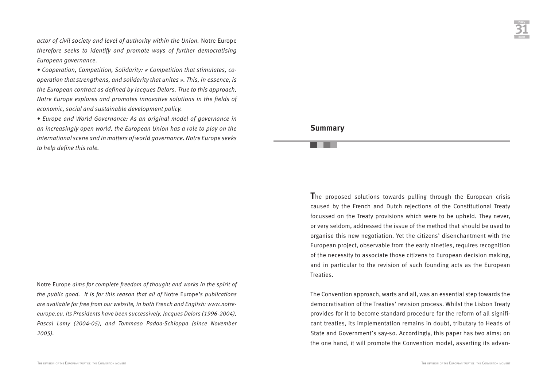*actor of civil society and level of authority within the Union.* Notre Europe *therefore seeks to identify and promote ways of further democratising European governance.* 

*• Cooperation, Competition, Solidarity: « Competition that stimulates, cooperation that strengthens, and solidarity that unites ». This, in essence, is the European contract as defined by Jacques Delors. True to this approach, Notre Europe explores and promotes innovative solutions in the fields of economic, social and sustainable development policy.*

*• Europe and World Governance: As an original model of governance in an increasingly open world, the European Union has a role to play on the international scene and in matters of world governance. Notre Europe seeks to help define this role.*

Notre Europe *aims for complete freedom of thought and works in the spirit of the public good. It is for this reason that all of* Notre Europe*'s publications are available for free from our website, in both French and English: www.notreeurope.eu. Its Presidents have been successively, Jacques Delors (1996-2004), Pascal Lamy (2004-05), and Tommaso Padoa-Schioppa (since November 2005).*

#### **Summary**

**T**he proposed solutions towards pulling through the European crisis caused by the French and Dutch rejections of the Constitutional Treaty focussed on the Treaty provisions which were to be upheld. They never, or very seldom, addressed the issue of the method that should be used to organise this new negotiation. Yet the citizens' disenchantment with the European project, observable from the early nineties, requires recognition of the necessity to associate those citizens to European decision making, and in particular to the revision of such founding acts as the European Treaties.

The Convention approach, warts and all, was an essential step towards the democratisation of the Treaties' revision process. Whilst the Lisbon Treaty provides for it to become standard procedure for the reform of all significant treaties, its implementation remains in doubt, tributary to Heads of State and Government's say-so. Accordingly, this paper has two aims: on the one hand, it will promote the Convention model, asserting its advan-

**Policy 31**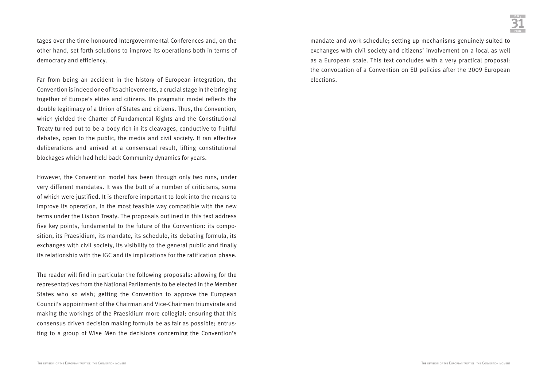tages over the time-honoured Intergovernmental Conferences and, on the other hand, set forth solutions to improve its operations both in terms of democracy and efficiency.

Far from being an accident in the history of European integration, the Convention is indeed one of its achievements, a crucial stage in the bringing together of Europe's elites and citizens. Its pragmatic model reflects the double legitimacy of a Union of States and citizens. Thus, the Convention, which yielded the Charter of Fundamental Rights and the Constitutional Treaty turned out to be a body rich in its cleavages, conductive to fruitful debates, open to the public, the media and civil society. It ran effective deliberations and arrived at a consensual result, lifting constitutional blockages which had held back Community dynamics for years.

However, the Convention model has been through only two runs, under very different mandates. It was the butt of a number of criticisms, some of which were justified. It is therefore important to look into the means to improve its operation, in the most feasible way compatible with the new terms under the Lisbon Treaty. The proposals outlined in this text address five key points, fundamental to the future of the Convention: its composition, its Praesidium, its mandate, its schedule, its debating formula, its exchanges with civil society, its visibility to the general public and finally its relationship with the IGC and its implications for the ratification phase.

The reader will find in particular the following proposals: allowing for the representatives from the National Parliaments to be elected in the Member States who so wish; getting the Convention to approve the European Council's appointment of the Chairman and Vice-Chairmen triumvirate and making the workings of the Praesidium more collegial; ensuring that this consensus driven decision making formula be as fair as possible; entrusting to a group of Wise Men the decisions concerning the Convention's

mandate and work schedule; setting up mechanisms genuinely suited to exchanges with civil society and citizens' involvement on a local as well as a European scale. This text concludes with a very practical proposal: the convocation of a Convention on EU policies after the 2009 European elections.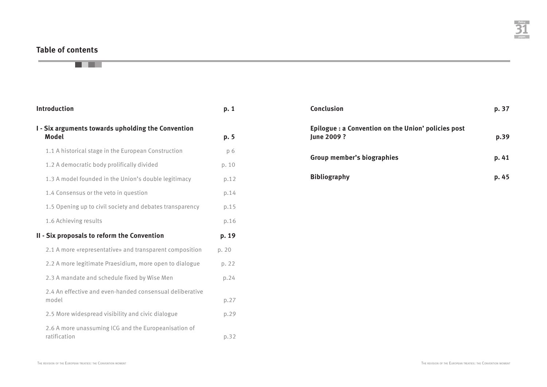# **Table of contents**

. .

# **Introduction** p. 1 **I - Six arguments towards upholding the Convention Model p. 5** 1.1 A historical stage in the European Construction p 6 1.2 A democratic body prolifically divided p. 10 1.3 A model founded in the Union's double legitimacy p.12 1.4 Consensus or the veto in question example to the p.14 1.5 Opening up to civil society and debates transparency b.15 1.6 Achieving results p.16 **II - Six proposals to reform the Convention p. 19** 2.1 A more «representative» and transparent composition p. 20 2.2 A more legitimate Praesidium, more open to dialogue p. 22 2.3 A mandate and schedule fixed by Wise Men p.24 2.4 An effective and even-handed consensual deliberative model p.27 2.5 More widespread visibility and civic dialogue p.29 2.6 A more unassuming ICG and the Europeanisation of ratification p.32

| <b>Conclusion</b>                                                       | p. 37 |
|-------------------------------------------------------------------------|-------|
| Epilogue: a Convention on the Union' policies post<br><b>lune 2009?</b> | p.39  |
| <b>Group member's biographies</b>                                       | p. 41 |
| <b>Bibliography</b>                                                     | p. 45 |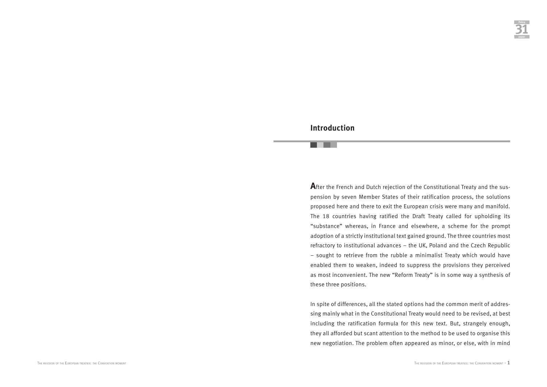## **Introduction**

**A**fter the French and Dutch rejection of the Constitutional Treaty and the suspension by seven Member States of their ratification process, the solutions proposed here and there to exit the European crisis were many and manifold. The 18 countries having ratified the Draft Treaty called for upholding its "substance" whereas, in France and elsewhere, a scheme for the prompt adoption of a strictly institutional text gained ground. The three countries most refractory to institutional advances – the UK, Poland and the Czech Republic – sought to retrieve from the rubble a minimalist Treaty which would have enabled them to weaken, indeed to suppress the provisions they perceived as most inconvenient. The new "Reform Treaty" is in some way a synthesis of these three positions.

In spite of differences, all the stated options had the common merit of addressing mainly what in the Constitutional Treaty would need to be revised, at best including the ratification formula for this new text. But, strangely enough, they all afforded but scant attention to the method to be used to organise this new negotiation. The problem often appeared as minor, or else, with in mind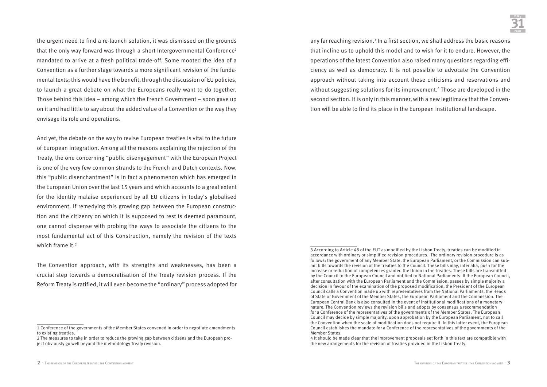the urgent need to find a re-launch solution, it was dismissed on the grounds that the only way forward was through a short Intergovernmental Conference<sup>1</sup> mandated to arrive at a fresh political trade-off. Some mooted the idea of a Convention as a further stage towards a more significant revision of the fundamental texts; this would have the benefit, through the discussion of EU policies, to launch a great debate on what the Europeans really want to do together. Those behind this idea – among which the French Government – soon gave up on it and had little to say about the added value of a Convention or the way they envisage its role and operations.

And yet, the debate on the way to revise European treaties is vital to the future of European integration. Among all the reasons explaining the rejection of the Treaty, the one concerning "public disengagement" with the European Project is one of the very few common strands to the French and Dutch contexts. Now, this "public disenchantment" is in fact a phenomenon which has emerged in the European Union over the last 15 years and which accounts to a great extent for the identity malaise experienced by all EU citizens in today's globalised environment. If remedying this growing gap between the European construction and the citizenry on which it is supposed to rest is deemed paramount, one cannot dispense with probing the ways to associate the citizens to the most fundamental act of this Construction, namely the revision of the texts which frame it.<sup>2</sup>

The Convention approach, with its strengths and weaknesses, has been a crucial step towards a democratisation of the Treaty revision process. If the Reform Treaty is ratified, it will even become the "ordinary" process adopted for any far reaching revision.<sup>3</sup> In a first section, we shall address the basic reasons that incline us to uphold this model and to wish for it to endure. However, the operations of the latest Convention also raised many questions regarding efficiency as well as democracy. It is not possible to advocate the Convention approach without taking into account these criticisms and reservations and without suggesting solutions for its improvement.<sup>4</sup> Those are developed in the second section. It is only in this manner, with a new legitimacy that the Convention will be able to find its place in the European institutional landscape.

<sup>1</sup> Conference of the governments of the Member States convened in order to negotiate amendments to existing treaties.

<sup>2</sup> The measures to take in order to reduce the growing gap between citizens and the European project obviously go well beyond the methodology Treaty revision.

<sup>3</sup> According to Article 48 of the EUT as modified by the Lisbon Treaty, treaties can be modified in accordance with ordinary or simplified revision procedures. The ordinary revision procedure is as follows: the government of any Member State, the European Parliament, or the Commission can submit bills towards the revision of the treaties to the Council. These bills may, inter alia, push for the increase or reduction of competences granted the Union in the treaties. These bills are transmitted by the Council to the European Council and notified to National Parliaments. If the European Council, after consultation with the European Parliament and the Commission, passes by simple majority a decision in favour of the examination of the proposed modification, the President of the European Council calls a Convention made up with representatives from the National Parliaments, the Heads of State or Government of the Member States, the European Parliament and the Commission. The European Central Bank is also consulted in the event of institutional modifications of a monetary nature. The Convention reviews the revision bills and adopts by consensus a recommendation for a Conference of the representatives of the governments of the Member States. The European Council may decide by simple majority, upon approbation by the European Parliament, not to call the Convention when the scale of modification does not require it. In this latter event, the European Council establishes the mandate for a Conference of the representatives of the governments of the Member States.

<sup>4</sup> It should be made clear that the improvement proposals set forth in this text are compatible with the new arrangements for the revision of treaties provided in the Lisbon Treaty.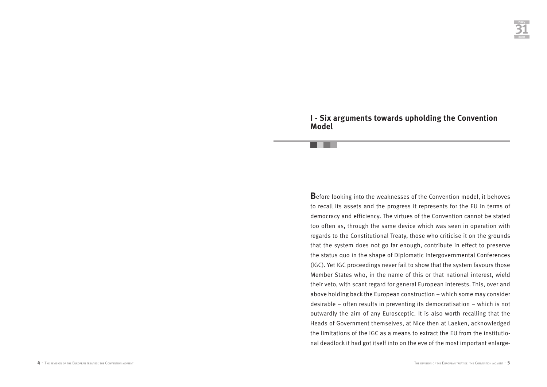### **I - Six arguments towards upholding the Convention Model**

H.

**B**efore looking into the weaknesses of the Convention model, it behoves to recall its assets and the progress it represents for the EU in terms of democracy and efficiency. The virtues of the Convention cannot be stated too often as, through the same device which was seen in operation with regards to the Constitutional Treaty, those who criticise it on the grounds that the system does not go far enough, contribute in effect to preserve the status quo in the shape of Diplomatic Intergovernmental Conferences (IGC). Yet IGC proceedings never fail to show that the system favours those Member States who, in the name of this or that national interest, wield their veto, with scant regard for general European interests. This, over and above holding back the European construction – which some may consider desirable – often results in preventing its democratisation – which is not outwardly the aim of any Eurosceptic. It is also worth recalling that the Heads of Government themselves, at Nice then at Laeken, acknowledged the limitations of the IGC as a means to extract the EU from the institutional deadlock it had got itself into on the eve of the most important enlarge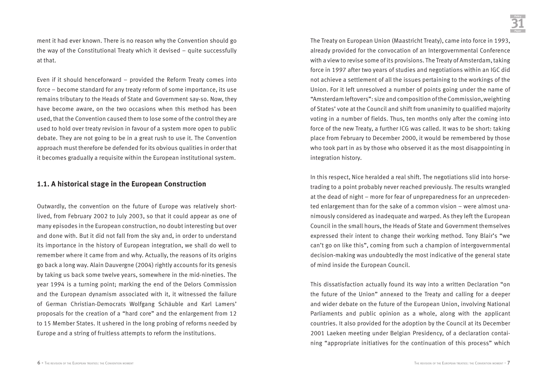ment it had ever known. There is no reason why the Convention should go the way of the Constitutional Treaty which it devised – quite successfully at that.

Even if it should henceforward – provided the Reform Treaty comes into force – become standard for any treaty reform of some importance, its use remains tributary to the Heads of State and Government say-so. Now, they have become aware, on the two occasions when this method has been used, that the Convention caused them to lose some of the control they are used to hold over treaty revision in favour of a system more open to public debate. They are not going to be in a great rush to use it. The Convention approach must therefore be defended for its obvious qualities in order that it becomes gradually a requisite within the European institutional system.

#### **1.1. A historical stage in the European Construction**

Outwardly, the convention on the future of Europe was relatively shortlived, from February 2002 to July 2003, so that it could appear as one of many episodes in the European construction, no doubt interesting but over and done with. But it did not fall from the sky and, in order to understand its importance in the history of European integration, we shall do well to remember where it came from and why. Actually, the reasons of its origins go back a long way. Alain Dauvergne (2004) rightly accounts for its genesis by taking us back some twelve years, somewhere in the mid-nineties. The year 1994 is a turning point; marking the end of the Delors Commission and the European dynamism associated with it, it witnessed the failure of German Christian-Democrats Wolfgang Schäuble and Karl Lamers' proposals for the creation of a "hard core" and the enlargement from 12 to 15 Member States. It ushered in the long probing of reforms needed by Europe and a string of fruitless attempts to reform the institutions.

The Treaty on European Union (Maastricht Treaty), came into force in 1993, already provided for the convocation of an Intergovernmental Conference with a view to revise some of its provisions. The Treaty of Amsterdam, taking force in 1997 after two years of studies and negotiations within an IGC did not achieve a settlement of all the issues pertaining to the workings of the Union. For it left unresolved a number of points going under the name of "Amsterdam leftovers": size and composition of the Commission, weighting of States' vote at the Council and shift from unanimity to qualified majority voting in a number of fields. Thus, ten months only after the coming into force of the new Treaty, a further ICG was called. It was to be short: taking place from February to December 2000, it would be remembered by those who took part in as by those who observed it as the most disappointing in integration history.

In this respect, Nice heralded a real shift. The negotiations slid into horsetrading to a point probably never reached previously. The results wrangled at the dead of night – more for fear of unpreparedness for an unprecedented enlargement than for the sake of a common vision – were almost unanimously considered as inadequate and warped. As they left the European Council in the small hours, the Heads of State and Government themselves expressed their intent to change their working method. Tony Blair's "we can't go on like this", coming from such a champion of intergovernmental decision-making was undoubtedly the most indicative of the general state of mind inside the European Council.

This dissatisfaction actually found its way into a written Declaration "on the future of the Union" annexed to the Treaty and calling for a deeper and wider debate on the future of the European Union, involving National Parliaments and public opinion as a whole, along with the applicant countries. It also provided for the adoption by the Council at its December 2001 Laeken meeting under Belgian Presidency, of a declaration containing "appropriate initiatives for the continuation of this process" which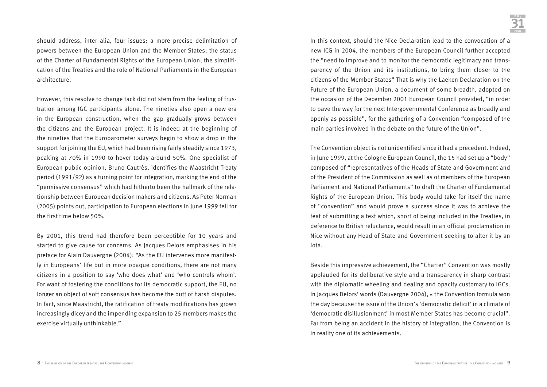should address, inter alia, four issues: a more precise delimitation of powers between the European Union and the Member States; the status of the Charter of Fundamental Rights of the European Union; the simplification of the Treaties and the role of National Parliaments in the European architecture.

However, this resolve to change tack did not stem from the feeling of frustration among IGC participants alone. The nineties also open a new era in the European construction, when the gap gradually grows between the citizens and the European project. It is indeed at the beginning of the nineties that the Eurobarometer surveys begin to show a drop in the support for joining the EU, which had been rising fairly steadily since 1973, peaking at 70% in 1990 to hover today around 50%. One specialist of European public opinion, Bruno Cautrès, identifies the Maastricht Treaty period (1991/92) as a turning point for integration, marking the end of the "permissive consensus" which had hitherto been the hallmark of the relationship between European decision makers and citizens. As Peter Norman (2005) points out, participation to European elections in June 1999 fell for the first time below 50%.

By 2001, this trend had therefore been perceptible for 10 years and started to give cause for concerns. As Jacques Delors emphasises in his preface for Alain Dauvergne (2004): "As the EU intervenes more manifestly in Europeans' life but in more opaque conditions, there are not many citizens in a position to say 'who does what' and 'who controls whom'. For want of fostering the conditions for its democratic support, the EU, no longer an object of soft consensus has become the butt of harsh disputes. In fact, since Maastricht, the ratification of treaty modifications has grown increasingly dicey and the impending expansion to 25 members makes the exercise virtually unthinkable."

In this context, should the Nice Declaration lead to the convocation of a new ICG in 2004, the members of the European Council further accepted the "need to improve and to monitor the democratic legitimacy and transparency of the Union and its institutions, to bring them closer to the citizens of the Member States" That is why the Laeken Declaration on the Future of the European Union, a document of some breadth, adopted on the occasion of the December 2001 European Council provided, "in order to pave the way for the next Intergovernmental Conference as broadly and openly as possible", for the gathering of a Convention "composed of the main parties involved in the debate on the future of the Union".

The Convention object is not unidentified since it had a precedent. Indeed, in June 1999, at the Cologne European Council, the 15 had set up a "body" composed of "representatives of the Heads of State and Government and of the President of the Commission as well as of members of the European Parliament and National Parliaments" to draft the Charter of Fundamental Rights of the European Union. This body would take for itself the name of "convention" and would prove a success since it was to achieve the feat of submitting a text which, short of being included in the Treaties, in deference to British reluctance, would result in an official proclamation in Nice without any Head of State and Government seeking to alter it by an iota.

Beside this impressive achievement, the "Charter" Convention was mostly applauded for its deliberative style and a transparency in sharp contrast with the diplomatic wheeling and dealing and opacity customary to IGCs. In Jacques Delors' words (Dauvergne 2004), « the Convention formula won the day because the issue of the Union's 'democratic deficit' in a climate of 'democratic disillusionment' in most Member States has become crucial". Far from being an accident in the history of integration, the Convention is in reality one of its achievements.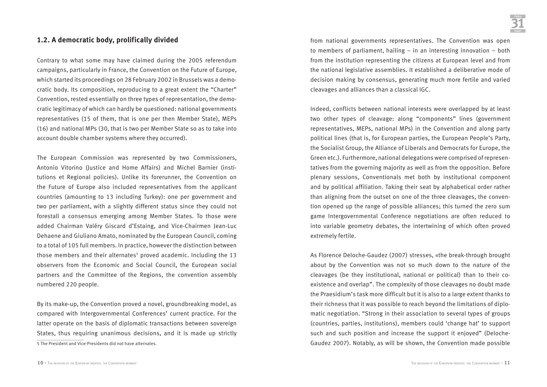#### **1.2. A democratic body, prolifically divided**

Contrary to what some may have claimed during the 2005 referendum campaigns, particularly in France, the Convention on the Future of Europe, which started its proceedings on 28 February 2002 in Brussels was a democratic body. Its composition, reproducing to a great extent the "Charter" Convention, rested essentially on three types of representation, the democratic legitimacy of which can hardly be questioned: national governments representatives (15 of them, that is one per then Member State), MEPs (16) and national MPs (30, that is two per Member State so as to take into account double chamber systems where they occurred).

The European Commission was represented by two Commissioners, Antonio Vitorino (Justice and Home Affairs) and Michel Barnier (institutions et Regional policies). Unlike its forerunner, the Convention on the Future of Europe also included representatives from the applicant countries (amounting to 13 including Turkey): one per government and two per parliament, with a slightly different status since they could not forestall a consensus emerging among Member States. To those were added Chairman Valéry Giscard d'Estaing, and Vice-Chairmen Jean-Luc Dehaene and Giuliano Amato, nominated by the European Council, coming to a total of 105 full members. In practice, however the distinction between those members and their alternates<sup>5</sup> proved academic. Including the 13 observers from the Economic and Social Council, the European social partners and the Committee of the Regions, the convention assembly numbered 220 people.

By its make-up, the Convention proved a novel, groundbreaking model, as compared with Intergovernmental Conferences' current practice. For the latter operate on the basis of diplomatic transactions between sovereign States, thus requiring unanimous decisions, and it is made up strictly 5 The President and Vice-Presidents did not have alternates.

from national governments representatives. The Convention was open to members of parliament, hailing – in an interesting innovation – both from the institution representing the citizens at European level and from the national legislative assemblies. It established a deliberative mode of decision making by consensus, generating much more fertile and varied cleavages and alliances than a classical IGC.

Indeed, conflicts between national interests were overlapped by at least two other types of cleavage: along "components" lines (government representatives, MEPs, national MPs) in the Convention and along party political lines (that is, for European parties, the European People's Party, the Socialist Group, the Alliance of Liberals and Democrats for Europe, the Green etc.). Furthermore, national delegations were comprised of representatives from the governing majority as well as from the opposition. Before plenary sessions, Conventionals met both by institutional component and by political affiliation. Taking their seat by alphabetical order rather than aligning from the outset on one of the three cleavages, the convention opened up the range of possible alliances; this turned the zero sum game Intergovernmental Conference negotiations are often reduced to into variable geometry debates, the intertwining of which often proved extremely fertile.

As Florence Deloche-Gaudez (2007) stresses, «the break-through brought about by the Convention was not so much down to the nature of the cleavages (be they institutional, national or political) than to their coexistence and overlap". The complexity of those cleavages no doubt made the Praesidium's task more difficult but it is also to a large extent thanks to their richness that it was possible to reach beyond the limitations of diplomatic negotiation. "Strong in their association to several types of groups (countries, parties, institutions), members could 'change hat' to support such and such position and increase the support it enjoyed" (Deloche-Gaudez 2007). Notably, as will be shown, the Convention made possible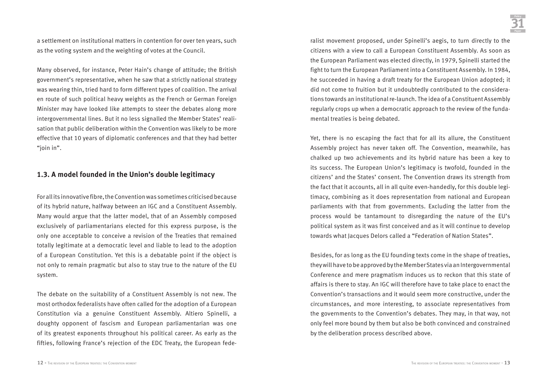a settlement on institutional matters in contention for over ten years, such as the voting system and the weighting of votes at the Council.

Many observed, for instance, Peter Hain's change of attitude; the British government's representative, when he saw that a strictly national strategy was wearing thin, tried hard to form different types of coalition. The arrival en route of such political heavy weights as the French or German Foreign Minister may have looked like attempts to steer the debates along more intergovernmental lines. But it no less signalled the Member States' realisation that public deliberation within the Convention was likely to be more effective that 10 years of diplomatic conferences and that they had better "ioin in".

#### **1.3. A model founded in the Union's double legitimacy**

For all its innovative fibre, the Convention was sometimes criticised because of its hybrid nature, halfway between an IGC and a Constituent Assembly. Many would argue that the latter model, that of an Assembly composed exclusively of parliamentarians elected for this express purpose, is the only one acceptable to conceive a revision of the Treaties that remained totally legitimate at a democratic level and liable to lead to the adoption of a European Constitution. Yet this is a debatable point if the object is not only to remain pragmatic but also to stay true to the nature of the EU system.

The debate on the suitability of a Constituent Assembly is not new. The most orthodox federalists have often called for the adoption of a European Constitution via a genuine Constituent Assembly. Altiero Spinelli, a doughty opponent of fascism and European parliamentarian was one of its greatest exponents throughout his political career. As early as the fifties, following France's rejection of the EDC Treaty, the European federalist movement proposed, under Spinelli's aegis, to turn directly to the citizens with a view to call a European Constituent Assembly. As soon as the European Parliament was elected directly, in 1979, Spinelli started the fight to turn the European Parliament into a Constituent Assembly. In 1984, he succeeded in having a draft treaty for the European Union adopted; it did not come to fruition but it undoubtedly contributed to the considerations towards an institutional re-launch. The idea of a Constituent Assembly regularly crops up when a democratic approach to the review of the fundamental treaties is being debated.

Yet, there is no escaping the fact that for all its allure, the Constituent Assembly project has never taken off. The Convention, meanwhile, has chalked up two achievements and its hybrid nature has been a key to its success. The European Union's legitimacy is twofold, founded in the citizens' and the States' consent. The Convention draws its strength from the fact that it accounts, all in all quite even-handedly, for this double legitimacy, combining as it does representation from national and European parliaments with that from governments. Excluding the latter from the process would be tantamount to disregarding the nature of the EU's political system as it was first conceived and as it will continue to develop towards what Jacques Delors called a "Federation of Nation States".

Besides, for as long as the EU founding texts come in the shape of treaties, they will have to be approved by the Member States via an Intergovernmental Conference and mere pragmatism induces us to reckon that this state of affairs is there to stay. An IGC will therefore have to take place to enact the Convention's transactions and it would seem more constructive, under the circumstances, and more interesting, to associate representatives from the governments to the Convention's debates. They may, in that way, not only feel more bound by them but also be both convinced and constrained by the deliberation process described above.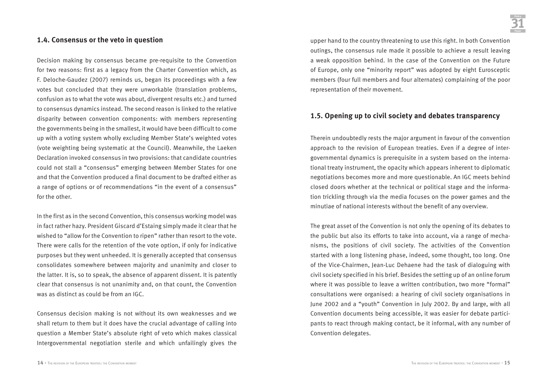#### **1.4. Consensus or the veto in question**

Decision making by consensus became pre-requisite to the Convention for two reasons: first as a legacy from the Charter Convention which, as F. Deloche-Gaudez (2007) reminds us, began its proceedings with a few votes but concluded that they were unworkable (translation problems, confusion as to what the vote was about, divergent results etc.) and turned to consensus dynamics instead. The second reason is linked to the relative disparity between convention components: with members representing the governments being in the smallest, it would have been difficult to come up with a voting system wholly excluding Member State's weighted votes (vote weighting being systematic at the Council). Meanwhile, the Laeken Declaration invoked consensus in two provisions: that candidate countries could not stall a "consensus" emerging between Member States for one and that the Convention produced a final document to be drafted either as a range of options or of recommendations "in the event of a consensus" for the other.

In the first as in the second Convention, this consensus working model was in fact rather hazy. President Giscard d'Estaing simply made it clear that he wished to "allow for the Convention to ripen" rather than resort to the vote. There were calls for the retention of the vote option, if only for indicative purposes but they went unheeded. It is generally accepted that consensus consolidates somewhere between majority and unanimity and closer to the latter. It is, so to speak, the absence of apparent dissent. It is patently clear that consensus is not unanimity and, on that count, the Convention was as distinct as could be from an IGC.

Consensus decision making is not without its own weaknesses and we shall return to them but it does have the crucial advantage of calling into question a Member State's absolute right of veto which makes classical Intergovernmental negotiation sterile and which unfailingly gives the

upper hand to the country threatening to use this right. In both Convention outings, the consensus rule made it possible to achieve a result leaving a weak opposition behind. In the case of the Convention on the Future of Europe, only one "minority report" was adopted by eight Eurosceptic members (four full members and four alternates) complaining of the poor representation of their movement.

#### **1.5. Opening up to civil society and debates transparency**

Therein undoubtedly rests the major argument in favour of the convention approach to the revision of European treaties. Even if a degree of intergovernmental dynamics is prerequisite in a system based on the international treaty instrument, the opacity which appears inherent to diplomatic negotiations becomes more and more questionable. An IGC meets behind closed doors whether at the technical or political stage and the information trickling through via the media focuses on the power games and the minutiae of national interests without the benefit of any overview.

The great asset of the Convention is not only the opening of its debates to the public but also its efforts to take into account, via a range of mechanisms, the positions of civil society. The activities of the Convention started with a long listening phase, indeed, some thought, too long. One of the Vice-Chairmen, Jean-Luc Dehaene had the task of dialoguing with civil society specified in his brief. Besides the setting up of an online forum where it was possible to leave a written contribution, two more "formal" consultations were organised: a hearing of civil society organisations in June 2002 and a "youth" Convention in July 2002. By and large, with all Convention documents being accessible, it was easier for debate participants to react through making contact, be it informal, with any number of Convention delegates.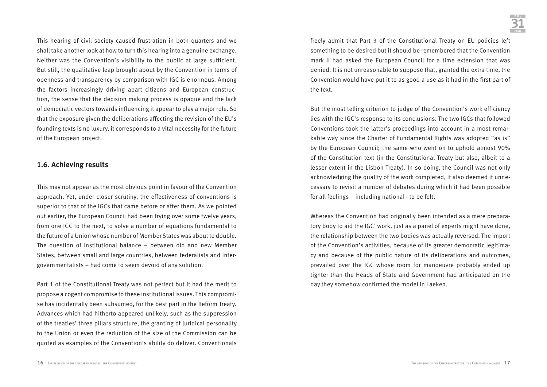This hearing of civil society caused frustration in both quarters and we shall take another look at how to turn this hearing into a genuine exchange. Neither was the Convention's visibility to the public at large sufficient. But still, the qualitative leap brought about by the Convention in terms of openness and transparency by comparison with IGC is enormous. Among the factors increasingly driving apart citizens and European construction, the sense that the decision making process is opaque and the lack of democratic vectors towards influencing it appear to play a major role. So that the exposure given the deliberations affecting the revision of the EU's founding texts is no luxury, it corresponds to a vital necessity for the future of the European project.

#### **1.6. Achieving results**

This may not appear as the most obvious point in favour of the Convention approach. Yet, under closer scrutiny, the effectiveness of conventions is superior to that of the IGCs that came before or after them. As we pointed out earlier, the European Council had been trying over some twelve years, from one IGC to the next, to solve a number of equations fundamental to the future of a Union whose number of Member States was about to double. The question of institutional balance – between old and new Member States, between small and large countries, between federalists and intergovernmentalists – had come to seem devoid of any solution.

Part 1 of the Constitutional Treaty was not perfect but it had the merit to propose a cogent compromise to these institutional issues. This compromise has incidentally been subsumed, for the best part in the Reform Treaty. Advances which had hitherto appeared unlikely, such as the suppression of the treaties' three pillars structure, the granting of juridical personality to the Union or even the reduction of the size of the Commission can be quoted as examples of the Convention's ability do deliver. Conventionals freely admit that Part 3 of the Constitutional Treaty on EU policies left something to be desired but it should be remembered that the Convention mark II had asked the European Council for a time extension that was denied. It is not unreasonable to suppose that, granted the extra time, the Convention would have put it to as good a use as it had in the first part of the text.

But the most telling criterion to judge of the Convention's work efficiency lies with the IGC's response to its conclusions. The two IGCs that followed Conventions took the latter's proceedings into account in a most remarkable way since the Charter of Fundamental Rights was adopted "as is" by the European Council; the same who went on to uphold almost 90% of the Constitution text (in the Constitutional Treaty but also, albeit to a lesser extent in the Lisbon Treaty). In so doing, the Council was not only acknowledging the quality of the work completed, it also deemed it unnecessary to revisit a number of debates during which it had been possible for all feelings – including national - to be felt.

Whereas the Convention had originally been intended as a mere preparatory body to aid the IGC' work, just as a panel of experts might have done, the relationship between the two bodies was actually reversed. The import of the Convention's activities, because of its greater democratic legitimacy and because of the public nature of its deliberations and outcomes, prevailed over the IGC whose room for manoeuvre probably ended up tighter than the Heads of State and Government had anticipated on the day they somehow confirmed the model in Laeken.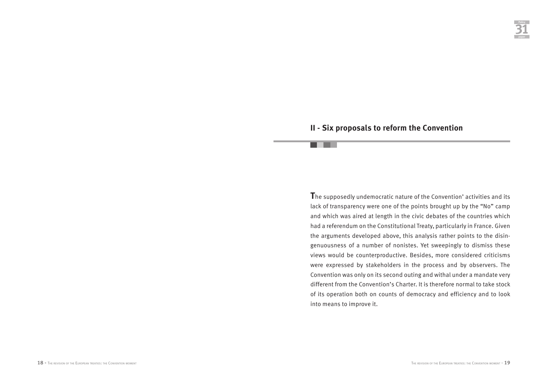# **II - Six proposals to reform the Convention**

an an a

**T**he supposedly undemocratic nature of the Convention' activities and its lack of transparency were one of the points brought up by the "No" camp and which was aired at length in the civic debates of the countries which had a referendum on the Constitutional Treaty, particularly in France. Given the arguments developed above, this analysis rather points to the disingenuousness of a number of nonistes. Yet sweepingly to dismiss these views would be counterproductive. Besides, more considered criticisms were expressed by stakeholders in the process and by observers. The Convention was only on its second outing and withal under a mandate very different from the Convention's Charter. It is therefore normal to take stock of its operation both on counts of democracy and efficiency and to look into means to improve it.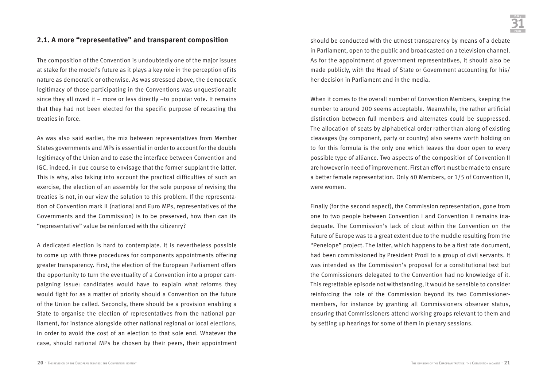### **2.1. A more "representative" and transparent composition**

The composition of the Convention is undoubtedly one of the major issues at stake for the model's future as it plays a key role in the perception of its nature as democratic or otherwise. As was stressed above, the democratic legitimacy of those participating in the Conventions was unquestionable since they all owed it – more or less directly –to popular vote. It remains that they had not been elected for the specific purpose of recasting the treaties in force.

As was also said earlier, the mix between representatives from Member States governments and MPs is essential in order to account for the double legitimacy of the Union and to ease the interface between Convention and IGC, indeed, in due course to envisage that the former supplant the latter. This is why, also taking into account the practical difficulties of such an exercise, the election of an assembly for the sole purpose of revising the treaties is not, in our view the solution to this problem. If the representation of Convention mark II (national and Euro MPs, representatives of the Governments and the Commission) is to be preserved, how then can its "representative" value be reinforced with the citizenry?

A dedicated election is hard to contemplate. It is nevertheless possible to come up with three procedures for components appointments offering greater transparency. First, the election of the European Parliament offers the opportunity to turn the eventuality of a Convention into a proper campaigning issue: candidates would have to explain what reforms they would fight for as a matter of priority should a Convention on the future of the Union be called. Secondly, there should be a provision enabling a State to organise the election of representatives from the national parliament, for instance alongside other national regional or local elections, in order to avoid the cost of an election to that sole end. Whatever the case, should national MPs be chosen by their peers, their appointment should be conducted with the utmost transparency by means of a debate in Parliament, open to the public and broadcasted on a television channel. As for the appointment of government representatives, it should also be made publicly, with the Head of State or Government accounting for his/ her decision in Parliament and in the media.

When it comes to the overall number of Convention Members, keeping the number to around 200 seems acceptable. Meanwhile, the rather artificial distinction between full members and alternates could be suppressed. The allocation of seats by alphabetical order rather than along of existing cleavages (by component, party or country) also seems worth holding on to for this formula is the only one which leaves the door open to every possible type of alliance. Two aspects of the composition of Convention II are however in need of improvement. First an effort must be made to ensure a better female representation. Only 40 Members, or 1/5 of Convention II, were women.

Finally (for the second aspect), the Commission representation, gone from one to two people between Convention I and Convention II remains inadequate. The Commission's lack of clout within the Convention on the Future of Europe was to a great extent due to the muddle resulting from the "Penelope" project. The latter, which happens to be a first rate document, had been commissioned by President Prodi to a group of civil servants. It was intended as the Commission's proposal for a constitutional text but the Commissioners delegated to the Convention had no knowledge of it. This regrettable episode not withstanding, it would be sensible to consider reinforcing the role of the Commission beyond its two Commissionermembers, for instance by granting all Commissioners observer status, ensuring that Commissioners attend working groups relevant to them and by setting up hearings for some of them in plenary sessions.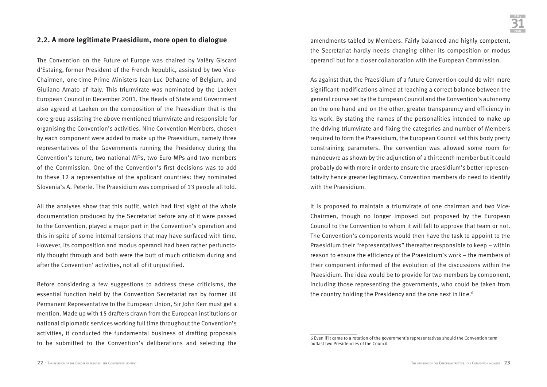#### **2.2. A more legitimate Praesidium, more open to dialogue**

The Convention on the Future of Europe was chaired by Valéry Giscard d'Estaing, former President of the French Republic, assisted by two Vice-Chairmen, one-time Prime Ministers Jean-Luc Dehaene of Belgium, and Giuliano Amato of Italy. This triumvirate was nominated by the Laeken European Council in December 2001. The Heads of State and Government also agreed at Laeken on the composition of the Praesidium that is the core group assisting the above mentioned triumvirate and responsible for organising the Convention's activities. Nine Convention Members, chosen by each component were added to make up the Praesidium, namely three representatives of the Governments running the Presidency during the Convention's tenure, two national MPs, two Euro MPs and two members of the Commission. One of the Convention's first decisions was to add to these 12 a representative of the applicant countries: they nominated Slovenia's A. Peterle. The Praesidium was comprised of 13 people all told.

All the analyses show that this outfit, which had first sight of the whole documentation produced by the Secretariat before any of it were passed to the Convention, played a major part in the Convention's operation and this in spite of some internal tensions that may have surfaced with time. However, its composition and modus operandi had been rather perfunctorily thought through and both were the butt of much criticism during and after the Convention' activities, not all of it unjustified.

Before considering a few suggestions to address these criticisms, the essential function held by the Convention Secretariat ran by former UK Permanent Representative to the European Union, Sir John Kerr must get a mention. Made up with 15 drafters drawn from the European institutions or national diplomatic services working full time throughout the Convention's activities, it conducted the fundamental business of drafting proposals to be submitted to the Convention's deliberations and selecting the

amendments tabled by Members. Fairly balanced and highly competent, the Secretariat hardly needs changing either its composition or modus operandi but for a closer collaboration with the European Commission.

As against that, the Praesidium of a future Convention could do with more significant modifications aimed at reaching a correct balance between the general course set by the European Council and the Convention's autonomy on the one hand and on the other, greater transparency and efficiency in its work. By stating the names of the personalities intended to make up the driving triumvirate and fixing the categories and number of Members required to form the Praesidium, the European Council set this body pretty constraining parameters. The convention was allowed some room for manoeuvre as shown by the adjunction of a thirteenth member but it could probably do with more in order to ensure the praesidium's better representativity hence greater legitimacy. Convention members do need to identify with the Praesidium.

It is proposed to maintain a triumvirate of one chairman and two Vice-Chairmen, though no longer imposed but proposed by the European Council to the Convention to whom it will fall to approve that team or not. The Convention's components would then have the task to appoint to the Praesidium their "representatives" thereafter responsible to keep – within reason to ensure the efficiency of the Praesidium's work – the members of their component informed of the evolution of the discussions within the Praesidium. The idea would be to provide for two members by component, including those representing the governments, who could be taken from the country holding the Presidency and the one next in line.<sup>6</sup>

<sup>6</sup> Even if it came to a rotation of the government's representatives should the Convention term outlast two Presidencies of the Council.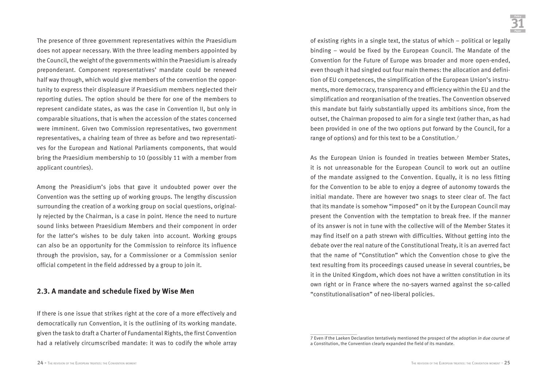The presence of three government representatives within the Praesidium does not appear necessary. With the three leading members appointed by the Council, the weight of the governments within the Praesidium is already preponderant. Component representatives' mandate could be renewed half way through, which would give members of the convention the opportunity to express their displeasure if Praesidium members neglected their reporting duties. The option should be there for one of the members to represent candidate states, as was the case in Convention II, but only in comparable situations, that is when the accession of the states concerned were imminent. Given two Commission representatives, two government representatives, a chairing team of three as before and two representatives for the European and National Parliaments components, that would bring the Praesidium membership to 10 (possibly 11 with a member from applicant countries).

Among the Preasidium's jobs that gave it undoubted power over the Convention was the setting up of working groups. The lengthy discussion surrounding the creation of a working group on social questions, originally rejected by the Chairman, is a case in point. Hence the need to nurture sound links between Praesidium Members and their component in order for the latter's wishes to be duly taken into account. Working groups can also be an opportunity for the Commission to reinforce its influence through the provision, say, for a Commissioner or a Commission senior official competent in the field addressed by a group to join it.

#### **2.3. A mandate and schedule fixed by Wise Men**

If there is one issue that strikes right at the core of a more effectively and democratically run Convention, it is the outlining of its working mandate. given the task to draft a Charter of Fundamental Rights, the first Convention had a relatively circumscribed mandate: it was to codify the whole array of existing rights in a single text, the status of which – political or legally binding – would be fixed by the European Council. The Mandate of the Convention for the Future of Europe was broader and more open-ended, even though it had singled out four main themes: the allocation and definition of EU competences, the simplification of the European Union's instruments, more democracy, transparency and efficiency within the EU and the simplification and reorganisation of the treaties. The Convention observed this mandate but fairly substantially upped its ambitions since, from the outset, the Chairman proposed to aim for a single text (rather than, as had been provided in one of the two options put forward by the Council, for a range of options) and for this text to be a Constitution.7

As the European Union is founded in treaties between Member States, it is not unreasonable for the European Council to work out an outline of the mandate assigned to the Convention. Equally, it is no less fitting for the Convention to be able to enjoy a degree of autonomy towards the initial mandate. There are however two snags to steer clear of. The fact that its mandate is somehow "imposed" on it by the European Council may present the Convention with the temptation to break free. If the manner of its answer is not in tune with the collective will of the Member States it may find itself on a path strewn with difficulties. Without getting into the debate over the real nature of the Constitutional Treaty, it is an averred fact that the name of "Constitution" which the Convention chose to give the text resulting from its proceedings caused unease in several countries, be it in the United Kingdom, which does not have a written constitution in its own right or in France where the no-sayers warned against the so-called "constitutionalisation" of neo-liberal policies.

<sup>7</sup> Even if the Laeken Declaration tentatively mentioned the prospect of the adoption *in due course* of a Constitution, the Convention clearly expanded the field of its mandate.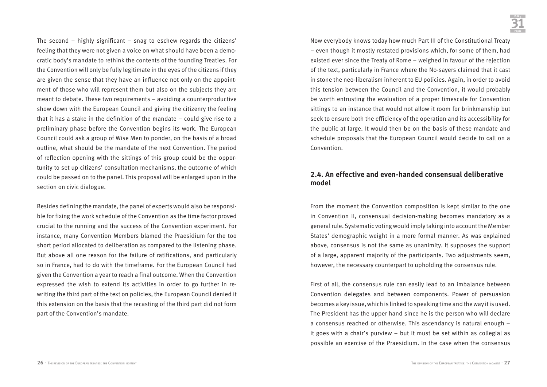The second – highly significant – snag to eschew regards the citizens' feeling that they were not given a voice on what should have been a democratic body's mandate to rethink the contents of the founding Treaties. For the Convention will only be fully legitimate in the eyes of the citizens if they are given the sense that they have an influence not only on the appointment of those who will represent them but also on the subjects they are meant to debate. These two requirements – avoiding a counterproductive show down with the European Council and giving the citizenry the feeling that it has a stake in the definition of the mandate – could give rise to a preliminary phase before the Convention begins its work. The European Council could ask a group of Wise Men to ponder, on the basis of a broad outline, what should be the mandate of the next Convention. The period of reflection opening with the sittings of this group could be the opportunity to set up citizens' consultation mechanisms, the outcome of which could be passed on to the panel. This proposal will be enlarged upon in the section on civic dialogue.

Besides defining the mandate, the panel of experts would also be responsible for fixing the work schedule of the Convention as the time factor proved crucial to the running and the success of the Convention experiment. For instance, many Convention Members blamed the Praesidium for the too short period allocated to deliberation as compared to the listening phase. But above all one reason for the failure of ratifications, and particularly so in France, had to do with the timeframe. For the European Council had given the Convention a year to reach a final outcome. When the Convention expressed the wish to extend its activities in order to go further in rewriting the third part of the text on policies, the European Council denied it this extension on the basis that the recasting of the third part did not form part of the Convention's mandate.

Now everybody knows today how much Part III of the Constitutional Treaty – even though it mostly restated provisions which, for some of them, had existed ever since the Treaty of Rome – weighed in favour of the rejection of the text, particularly in France where the No-sayers claimed that it cast in stone the neo-liberalism inherent to EU policies. Again, in order to avoid this tension between the Council and the Convention, it would probably be worth entrusting the evaluation of a proper timescale for Convention sittings to an instance that would not allow it room for brinkmanship but seek to ensure both the efficiency of the operation and its accessibility for the public at large. It would then be on the basis of these mandate and schedule proposals that the European Council would decide to call on a Convention.

#### **2.4. An effective and even-handed consensual deliberative model**

From the moment the Convention composition is kept similar to the one in Convention II, consensual decision-making becomes mandatory as a general rule. Systematic voting would imply taking into account the Member States' demographic weight in a more formal manner. As was explained above, consensus is not the same as unanimity. It supposes the support of a large, apparent majority of the participants. Two adjustments seem, however, the necessary counterpart to upholding the consensus rule.

First of all, the consensus rule can easily lead to an imbalance between Convention delegates and between components. Power of persuasion becomes a key issue, which is linked to speaking time and the way it is used. The President has the upper hand since he is the person who will declare a consensus reached or otherwise. This ascendancy is natural enough – it goes with a chair's purview – but it must be set within as collegial as possible an exercise of the Praesidium. In the case when the consensus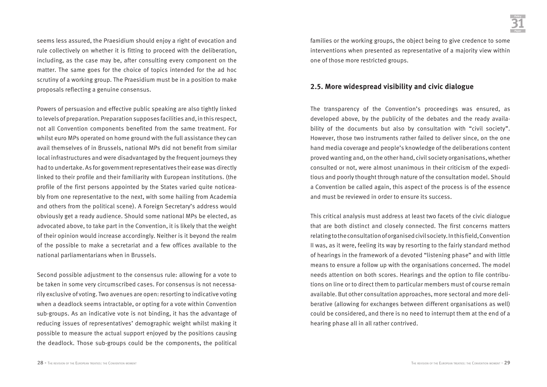seems less assured, the Praesidium should enjoy a right of evocation and rule collectively on whether it is fitting to proceed with the deliberation, including, as the case may be, after consulting every component on the matter. The same goes for the choice of topics intended for the ad hoc scrutiny of a working group. The Praesidium must be in a position to make proposals reflecting a genuine consensus.

Powers of persuasion and effective public speaking are also tightly linked to levels of preparation. Preparation supposes facilities and, in this respect, not all Convention components benefited from the same treatment. For whilst euro MPs operated on home ground with the full assistance they can avail themselves of in Brussels, national MPs did not benefit from similar local infrastructures and were disadvantaged by the frequent journeys they had to undertake. As for government representatives their ease was directly linked to their profile and their familiarity with European institutions. (the profile of the first persons appointed by the States varied quite noticeably from one representative to the next, with some hailing from Academia and others from the political scene). A Foreign Secretary's address would obviously get a ready audience. Should some national MPs be elected, as advocated above, to take part in the Convention, it is likely that the weight of their opinion would increase accordingly. Neither is it beyond the realm of the possible to make a secretariat and a few offices available to the national parliamentarians when in Brussels.

Second possible adjustment to the consensus rule: allowing for a vote to be taken in some very circumscribed cases. For consensus is not necessarily exclusive of voting. Two avenues are open: resorting to indicative voting when a deadlock seems intractable, or opting for a vote within Convention sub-groups. As an indicative vote is not binding, it has the advantage of reducing issues of representatives' demographic weight whilst making it possible to measure the actual support enjoyed by the positions causing the deadlock. Those sub-groups could be the components, the political

families or the working groups, the object being to give credence to some interventions when presented as representative of a majority view within one of those more restricted groups.

#### **2.5. More widespread visibility and civic dialogue**

The transparency of the Convention's proceedings was ensured, as developed above, by the publicity of the debates and the ready availability of the documents but also by consultation with "civil society". However, those two instruments rather failed to deliver since, on the one hand media coverage and people's knowledge of the deliberations content proved wanting and, on the other hand, civil society organisations, whether consulted or not, were almost unanimous in their criticism of the expeditious and poorly thought through nature of the consultation model. Should a Convention be called again, this aspect of the process is of the essence and must be reviewed in order to ensure its success.

This critical analysis must address at least two facets of the civic dialogue that are both distinct and closely connected. The first concerns matters relating to the consultation of organised civil society. In this field, Convention II was, as it were, feeling its way by resorting to the fairly standard method of hearings in the framework of a devoted "listening phase" and with little means to ensure a follow up with the organisations concerned. The model needs attention on both scores. Hearings and the option to file contributions on line or to direct them to particular members must of course remain available. But other consultation approaches, more sectoral and more deliberative (allowing for exchanges between different organisations as well) could be considered, and there is no need to interrupt them at the end of a hearing phase all in all rather contrived.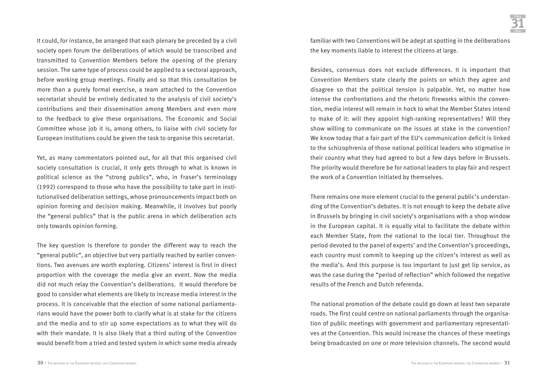It could, for instance, be arranged that each plenary be preceded by a civil society open forum the deliberations of which would be transcribed and transmitted to Convention Members before the opening of the plenary session. The same type of process could be applied to a sectoral approach, before working group meetings. Finally and so that this consultation be more than a purely formal exercise, a team attached to the Convention secretariat should be entirely dedicated to the analysis of civil society's contributions and their dissemination among Members and even more to the feedback to give these organisations. The Economic and Social Committee whose job it is, among others, to liaise with civil society for European institutions could be given the task to organise this secretariat.

Yet, as many commentators pointed out, for all that this organised civil society consultation is crucial, it only gets through to what is known in political science as the "strong publics", who, in Fraser's terminology (1992) correspond to those who have the possibility to take part in institutionalised deliberation settings, whose pronouncements impact both on opinion forming and decision making. Meanwhile, it involves but poorly the "general publics" that is the public arena in which deliberation acts only towards opinion forming.

The key question is therefore to ponder the different way to reach the "general public", an objective but very partially reached by earlier conventions. Two avenues are worth exploring. Citizens' interest is first in direct proportion with the coverage the media give an event. Now the media did not much relay the Convention's deliberations. It would therefore be good to consider what elements are likely to increase media interest in the process. It is conceivable that the election of some national parliamentarians would have the power both to clarify what is at stake for the citizens and the media and to stir up some expectations as to what they will do with their mandate. It is also likely that a third outing of the Convention would benefit from a tried and tested system in which some media already familiar with two Conventions will be adept at spotting in the deliberations the key moments liable to interest the citizens at large.

Besides, consensus does not exclude differences. It is important that Convention Members state clearly the points on which they agree and disagree so that the political tension is palpable. Yet, no matter how intense the confrontations and the rhetoric fireworks within the convention, media interest will remain in hock to what the Member States intend to make of it: will they appoint high-ranking representatives? Will they show willing to communicate on the issues at stake in the convention? We know today that a fair part of the EU's communication deficit is linked to the schizophrenia of those national political leaders who stigmatise in their country what they had agreed to but a few days before in Brussels. The priority would therefore be for national leaders to play fair and respect the work of a Convention initiated by themselves.

There remains one more element crucial to the general public's understanding of the Convention's debates. It is not enough to keep the debate alive in Brussels by bringing in civil society's organisations with a shop window in the European capital. It is equally vital to facilitate the debate within each Member State, from the national to the local tier. Throughout the period devoted to the panel of experts' and the Convention's proceedings, each country must commit to keeping up the citizen's interest as well as the media's. And this purpose is too important to just get lip service, as was the case during the "period of reflection" which followed the negative results of the French and Dutch referenda.

The national promotion of the debate could go down at least two separate roads. The first could centre on national parliaments through the organisation of public meetings with government and parliamentary representatives at the Convention. This would increase the chances of these meetings being broadcasted on one or more television channels. The second would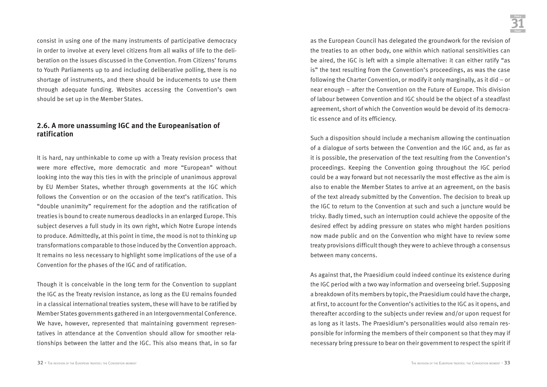consist in using one of the many instruments of participative democracy in order to involve at every level citizens from all walks of life to the deliberation on the issues discussed in the Convention. From Citizens' forums to Youth Parliaments up to and including deliberative polling, there is no shortage of instruments, and there should be inducements to use them through adequate funding. Websites accessing the Convention's own should be set up in the Member States.

### **2.6. A more unassuming IGC and the Europeanisation of ratification**

It is hard, nay unthinkable to come up with a Treaty revision process that were more effective, more democratic and more "European" without looking into the way this ties in with the principle of unanimous approval by EU Member States, whether through governments at the IGC which follows the Convention or on the occasion of the text's ratification. This "double unanimity" requirement for the adoption and the ratification of treaties is bound to create numerous deadlocks in an enlarged Europe. This subject deserves a full study in its own right, which Notre Europe intends to produce. Admittedly, at this point in time, the mood is not to thinking up transformations comparable to those induced by the Convention approach. It remains no less necessary to highlight some implications of the use of a Convention for the phases of the IGC and of ratification.

Though it is conceivable in the long term for the Convention to supplant the IGC as the Treaty revision instance, as long as the EU remains founded in a classical international treaties system, these will have to be ratified by Member States governments gathered in an Intergovernmental Conference. We have, however, represented that maintaining government representatives in attendance at the Convention should allow for smoother relationships between the latter and the IGC. This also means that, in so far

as the European Council has delegated the groundwork for the revision of the treaties to an other body, one within which national sensitivities can be aired, the IGC is left with a simple alternative: it can either ratify "as is" the text resulting from the Convention's proceedings, as was the case following the Charter Convention, or modify it only marginally, as it did – or near enough – after the Convention on the Future of Europe. This division of labour between Convention and IGC should be the object of a steadfast agreement, short of which the Convention would be devoid of its democratic essence and of its efficiency.

Such a disposition should include a mechanism allowing the continuation of a dialogue of sorts between the Convention and the IGC and, as far as it is possible, the preservation of the text resulting from the Convention's proceedings. Keeping the Convention going throughout the IGC period could be a way forward but not necessarily the most effective as the aim is also to enable the Member States to arrive at an agreement, on the basis of the text already submitted by the Convention. The decision to break up the IGC to return to the Convention at such and such a juncture would be tricky. Badly timed, such an interruption could achieve the opposite of the desired effect by adding pressure on states who might harden positions now made public and on the Convention who might have to review some treaty provisions difficult though they were to achieve through a consensus between many concerns.

As against that, the Praesidium could indeed continue its existence during the IGC period with a two way information and overseeing brief. Supposing a breakdown of its members by topic, the Praesidium could have the charge, at first, to account for the Convention's activities to the IGC as it opens, and thereafter according to the subjects under review and/or upon request for as long as it lasts. The Praesidium's personalities would also remain responsible for informing the members of their component so that they may if necessary bring pressure to bear on their government to respect the spirit if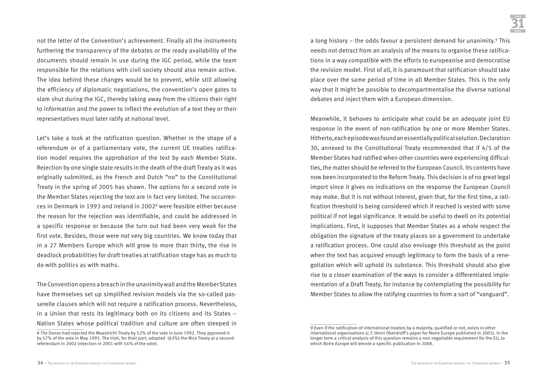not the letter of the Convention's achievement. Finally all the instruments furthering the transparency of the debates or the ready availability of the documents should remain in use during the IGC period, while the team responsible for the relations with civil society should also remain active. The idea behind these changes would be to prevent, while still allowing the efficiency of diplomatic negotiations, the convention's open gates to slam shut during the IGC, thereby taking away from the citizens their right to information and the power to inflect the evolution of a text they or their representatives must later ratify at national level.

Let's take a look at the ratification question. Whether in the shape of a referendum or of a parliamentary vote, the current UE treaties ratification model requires the approbation of the text by each Member State. Rejection by one single state results in the death of the draft Treaty as it was originally submitted, as the French and Dutch "no" to the Constitutional Treaty in the spring of 2005 has shown. The options for a second vote in the Member States rejecting the text are in fact very limited. The occurrences in Denmark in 1993 and Ireland in 20028 were feasible either because the reason for the rejection was identifiable, and could be addressed in a specific response or because the turn out had been very weak for the first vote. Besides, those were not very big countries. We know today that in a 27 Members Europe which will grow to more than thirty, the rise in deadlock probabilities for draft treaties at ratification stage has as much to do with politics as with maths.

The Convention opens a breach in the unanimity wall and the Member States have themselves set up simplified revision models via the so-called passerelle clauses which will not require a ratification process. Nevertheless, in a Union that rests its legitimacy both on its citizens and its States – Nation States whose political tradition and culture are often steeped in a long history – the odds favour a persistent demand for unanimity. $9$  This needs not detract from an analysis of the means to organise these ratifications in a way compatible with the efforts to europeanise and democratise the revision model. First of all, it is paramount that ratification should take place over the same period of time in all Member States. This is the only way that it might be possible to decompartmentalise the diverse national debates and inject them with a European dimension.

Meanwhile, it behoves to anticipate what could be an adequate joint EU response in the event of non-ratification by one or more Member States. Hitherto, each episode was found an essentially political solution. Declaration 30, annexed to the Constitutional Treaty recommended that if 4/5 of the Member States had ratified when other countries were experiencing difficulties, the matter should be referred to the European Council. Its contents have now been incorporated to the Reform Treaty. This decision is of no great legal import since it gives no indications on the response the European Council may make. But it is not without interest, given that, for the first time, a ratification threshold is being considered which if reached is vested with some political if not legal significance. It would be useful to dwell on its potential implications. First, it supposes that Member States as a whole respect the obligation the signature of the treaty places on a government to undertake a ratification process. One could also envisage this threshold as the point when the text has acquired enough legitimacy to form the basis of a renegotiation which will uphold its substance. This threshold should also give rise to a closer examination of the ways to consider a differentiated implementation of a Draft Treaty, for instance by contemplating the possibility for Member States to allow the ratifying countries to form a sort of "vanguard".

<sup>8</sup> The Danes had rejected the Maastricht Treaty by 52% of the vote in June 1992. They approved it by 57% of the vote in May 1993. The Irish, for their part, adopted (63%) the Nice Treaty at a second referendum in 2002 (rejection in 2001 with 54% of the vote).

<sup>9</sup> Even if the ratification of international treaties by a majority, qualified or not, exists in other international organisations (c.f. Henri Oberdroff's paper for Notre Europe published in 2005). In the longer term a critical analysis of this question remains a non negotiable requirement for the EU, to which *Notre Europe* will devote a specific publication in 2008.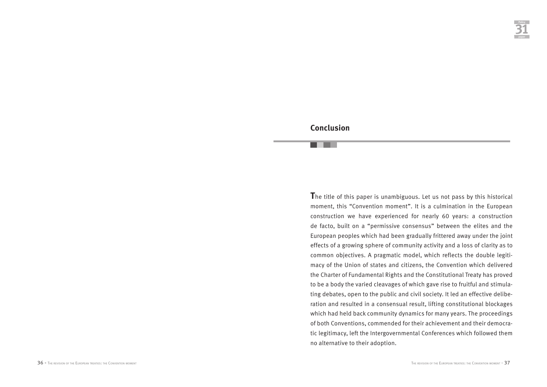# **Conclusion**

**T**he title of this paper is unambiguous. Let us not pass by this historical moment, this "Convention moment". It is a culmination in the European construction we have experienced for nearly 60 years: a construction de facto, built on a "permissive consensus" between the elites and the European peoples which had been gradually frittered away under the joint effects of a growing sphere of community activity and a loss of clarity as to common objectives. A pragmatic model, which reflects the double legitimacy of the Union of states and citizens, the Convention which delivered the Charter of Fundamental Rights and the Constitutional Treaty has proved to be a body the varied cleavages of which gave rise to fruitful and stimulating debates, open to the public and civil society. It led an effective deliberation and resulted in a consensual result, lifting constitutional blockages which had held back community dynamics for many years. The proceedings of both Conventions, commended for their achievement and their democratic legitimacy, left the Intergovernmental Conferences which followed them no alternative to their adoption.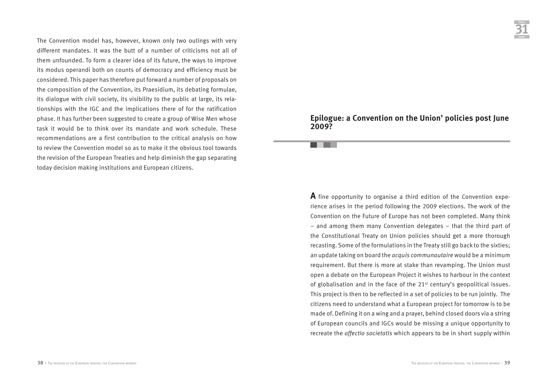The Convention model has, however, known only two outings with very different mandates. It was the butt of a number of criticisms not all of them unfounded. To form a clearer idea of its future, the ways to improve its modus operandi both on counts of democracy and efficiency must be considered. This paper has therefore put forward a number of proposals on the composition of the Convention, its Praesidium, its debating formulae, its dialogue with civil society, its visibility to the public at large, its relationships with the IGC and the implications there of for the ratification phase. It has further been suggested to create a group of Wise Men whose task it would be to think over its mandate and work schedule. These recommendations are a first contribution to the critical analysis on how to review the Convention model so as to make it the obvious tool towards the revision of the European Treaties and help diminish the gap separating today decision making institutions and European citizens.

#### **Epilogue: a Convention on the Union' policies post June 2009?**

**A** fine opportunity to organise a third edition of the Convention experience arises in the period following the 2009 elections. The work of the Convention on the Future of Europe has not been completed. Many think – and among them many Convention delegates – that the third part of the Constitutional Treaty on Union policies should get a more thorough recasting. Some of the formulations in the Treaty still go back to the sixties; an update taking on board the *acquis communautaire* would be a minimum requirement. But there is more at stake than revamping. The Union must open a debate on the European Project it wishes to harbour in the context of globalisation and in the face of the 21st century's geopolitical issues. This project is then to be reflected in a set of policies to be run jointly. The citizens need to understand what a European project for tomorrow is to be made of. Defining it on a wing and a prayer, behind closed doors via a string of European councils and IGCs would be missing a unique opportunity to recreate the *affectio societatis* which appears to be in short supply within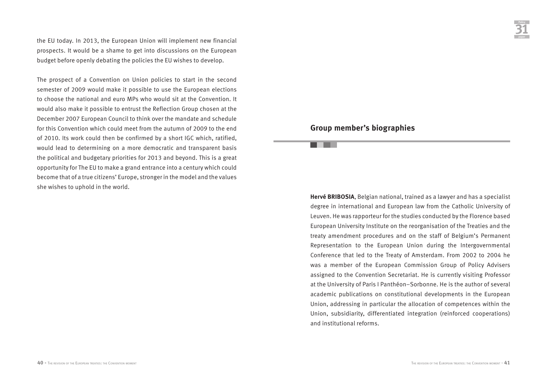the EU today. In 2013, the European Union will implement new financial prospects. It would be a shame to get into discussions on the European budget before openly debating the policies the EU wishes to develop.

The prospect of a Convention on Union policies to start in the second semester of 2009 would make it possible to use the European elections to choose the national and euro MPs who would sit at the Convention. It would also make it possible to entrust the Reflection Group chosen at the December 2007 European Council to think over the mandate and schedule for this Convention which could meet from the autumn of 2009 to the end of 2010. Its work could then be confirmed by a short IGC which, ratified, would lead to determining on a more democratic and transparent basis the political and budgetary priorities for 2013 and beyond. This is a great opportunity for The EU to make a grand entrance into a century which could become that of a true citizens' Europe, stronger in the model and the values she wishes to uphold in the world.

### **Group member's biographies**

**Hervé BRIBOSIA**, Belgian national, trained as a lawyer and has a specialist degree in international and European law from the Catholic University of Leuven. He was rapporteur for the studies conducted by the Florence based European University Institute on the reorganisation of the Treaties and the treaty amendment procedures and on the staff of Belgium's Permanent Representation to the European Union during the Intergovernmental Conference that led to the Treaty of Amsterdam. From 2002 to 2004 he was a member of the European Commission Group of Policy Advisers assigned to the Convention Secretariat. He is currently visiting Professor at the University of Paris I Panthéon–Sorbonne. He is the author of several academic publications on constitutional developments in the European Union, addressing in particular the allocation of competences within the Union, subsidiarity, differentiated integration (reinforced cooperations) and institutional reforms.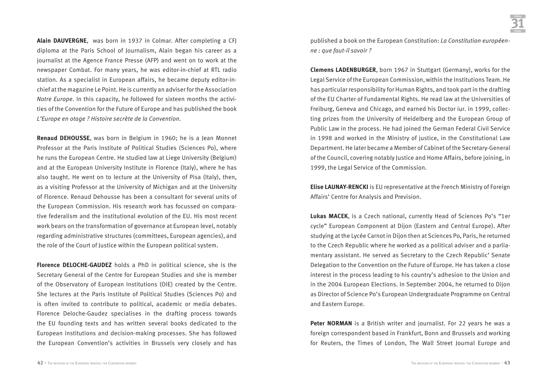**Alain DAUVERGNE**, was born in 1937 in Colmar. After completing a CFJ diploma at the Paris School of Journalism, Alain began his career as a journalist at the Agence France Presse (AFP) and went on to work at the newspaper Combat. For many years, he was editor-in-chief at RTL radio station. As a specialist in European affairs, he became deputy editor-inchief at the magazine Le Point. He is currently an adviser for the Association *Notre Europe*. In this capacity, he followed for sixteen months the activities of the Convention for the Future of Europe and has published the book *L'Europe en otage ? Histoire secrète de la Convention.* 

**Renaud DEHOUSSE**, was born in Belgium in 1960; he is a Jean Monnet Professor at the Paris Institute of Political Studies (Sciences Po), where he runs the European Centre. He studied law at Liege University (Belgium) and at the European University Institute in Florence (Italy), where he has also taught. He went on to lecture at the University of Pisa (Italy), then, as a visiting Professor at the University of Michigan and at the University of Florence. Renaud Dehousse has been a consultant for several units of the European Commission. His research work has focussed on comparative federalism and the institutional evolution of the EU. His most recent work bears on the transformation of governance at European level, notably regarding administrative structures (committees, European agencies), and the role of the Court of Justice within the European political system.

**Florence DELOCHE-GAUDEZ** holds a PhD in political science, she is the Secretary General of the Centre for European Studies and she is member of the Observatory of European Institutions (OIE) created by the Centre. She lectures at the Paris Institute of Political Studies (Sciences Po) and is often invited to contribute to political, academic or media debates. Florence Deloche-Gaudez specialises in the drafting process towards the EU founding texts and has written several books dedicated to the European institutions and decision-making processes. She has followed the European Convention's activities in Brussels very closely and has

published a book on the European Constitution: *La Constitution européenne : que faut-il savoir ?* 

**Clemens LADENBURGER**, born 1967 in Stuttgart (Germany), works for the Legal Service of the European Commission, within the Institutions Team. He has particular responsibility for Human Rights, and took part in the drafting of the EU Charter of Fundamental Rights. He read law at the Universities of Freiburg, Geneva and Chicago, and earned his Doctor iur. in 1999, collecting prizes from the University of Heidelberg and the European Group of Public Law in the process. He had joined the German Federal Civil Service in 1998 and worked in the Ministry of justice, in the Constitutional Law Department. He later became a Member of Cabinet of the Secretary-General of the Council, covering notably Justice and Home Affairs, before joining, in 1999, the Legal Service of the Commission.

**Elise LAUNAY-RENCKI** is EU representative at the French Ministry of Foreign Affairs' Centre for Analysis and Prevision.

**Lukas MACEK**, is a Czech national, currently Head of Sciences Po's "1er cycle" European Component at Dijon (Eastern and Central Europe). After studying at the Lycée Carnot in Dijon then at Sciences Po, Paris, he returned to the Czech Republic where he worked as a political adviser and a parliamentary assistant. He served as Secretary to the Czech Republic' Senate Delegation to the Convention on the Future of Europe. He has taken a close interest in the process leading to his country's adhesion to the Union and in the 2004 European Elections. In September 2004, he returned to Dijon as Director of Science Po's European Undergraduate Programme on Central and Eastern Europe.

**Peter NORMAN** is a British writer and journalist. For 22 years he was a foreign correspondent based in Frankfurt, Bonn and Brussels and working for Reuters, the Times of London, The Wall Street Journal Europe and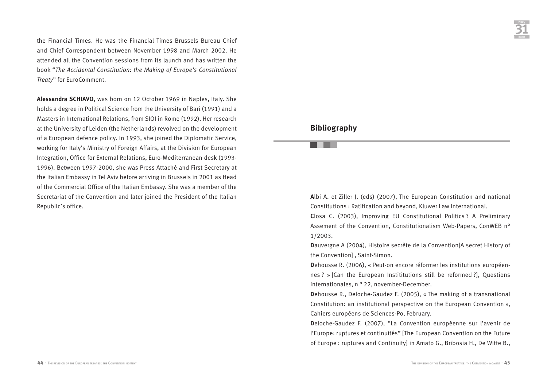the Financial Times. He was the Financial Times Brussels Bureau Chief and Chief Correspondent between November 1998 and March 2002. He attended all the Convention sessions from its launch and has written the book "*The Accidental Constitution: the Making of Europe's Constitutional Treaty*" for EuroComment.

**Alessandra SCHIAVO**, was born on 12 October 1969 in Naples, Italy. She holds a degree in Political Science from the University of Bari (1991) and a Masters in International Relations, from SIOI in Rome (1992). Her research at the University of Leiden (the Netherlands) revolved on the development of a European defence policy. In 1993, she joined the Diplomatic Service, working for Italy's Ministry of Foreign Affairs, at the Division for European Integration, Office for External Relations, Euro-Mediterranean desk (1993- 1996). Between 1997-2000, she was Press Attaché and First Secretary at the Italian Embassy in Tel Aviv before arriving in Brussels in 2001 as Head of the Commercial Office of the Italian Embassy. She was a member of the Secretariat of the Convention and later joined the President of the Italian Republic's office.

#### **Bibliography**

**A**lbi A. et Ziller J. (eds) (2007), The European Constitution and national Constitutions : Ratification and beyond, Kluwer Law International.

**C**losa C. (2003), Improving EU Constitutional Politics ? A Preliminary Assement of the Convention, Constitutionalism Web-Papers, ConWEB n° 1/2003.

**D**auvergne A (2004), Histoire secrète de la Convention[A secret History of the Convention] , Saint-Simon.

**D**ehousse R. (2006), « Peut-on encore réformer les institutions européennes ? » [Can the European Instititutions still be reformed ?], Questions internationales, n ° 22, november-December.

**D**ehousse R., Deloche-Gaudez F. (2005), « The making of a transnational Constitution: an institutional perspective on the European Convention », Cahiers européens de Sciences-Po, February.

**D**eloche-Gaudez F. (2007), "La Convention européenne sur l'avenir de l'Europe: ruptures et continuités" [The European Convention on the Future of Europe : ruptures and Continuity] in Amato G., Bribosia H., De Witte B.,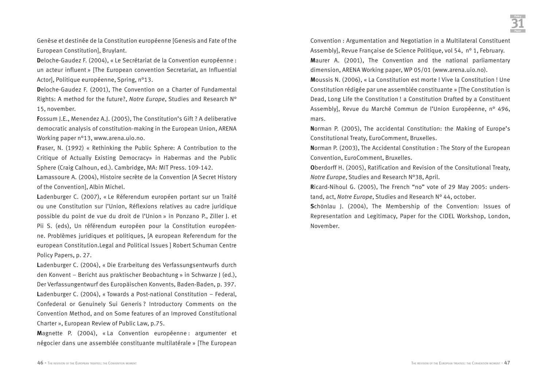Genèse et destinée de la Constitution européenne [Genesis and Fate of the European Constitution], Bruylant.

**D**eloche-Gaudez F. (2004), « Le Secrétariat de la Convention européenne : un acteur influent » [The European convention Secretariat, an Influential Actor], Politique européenne, Spring, n°13.

**D**eloche-Gaudez F. (2001), The Convention on a Charter of Fundamental Rights: A method for the future?, *Notre Europe*, Studies and Research N° 15, november.

**F**ossum J.E., Menendez A.J. (2005), The Constitution's Gift ? A deliberative democratic analysis of constitution-making in the European Union, ARENA Working paper n°13, www.arena.uio.no.

**F**raser, N. (1992) « Rethinking the Public Sphere: A Contribution to the Critique of Actually Existing Democracy» in Habermas and the Public Sphere (Craig Calhoun, ed.). Cambridge, MA: MIT Press. 109-142.

**L**amassoure A. (2004), Histoire secrète de la Convention [A Secret History of the Convention], Albin Michel.

**L**adenburger C. (2007), « Le Réferendum européen portant sur un Traité ou une Constitution sur l'Union, Réflexions relatives au cadre juridique possible du point de vue du droit de l'Union » in Ponzano P., Ziller J. et Pii S. (eds), Un référendum européen pour la Constitution européenne. Problèmes juridiques et politiques, [A european Referendum for the european Constitution.Legal and Political Issues ] Robert Schuman Centre Policy Papers, p. 27.

**L**adenburger C. (2004), « Die Erarbeitung des Verfassungsentwurfs durch den Konvent – Bericht aus praktischer Beobachtung » in Schwarze J (ed.), Der Verfassungentwurf des Europäischen Konvents, Baden-Baden, p. 397. **L**adenburger C. (2004), « Towards a Post-national Constitution – Federal, Confederal or Genuinely Sui Generis ? Introductory Comments on the Convention Method, and on Some features of an Improved Constitutional Charter », European Review of Public Law, p.75.

Magnette P. (2004), « La Convention européenne : argumenter et négocier dans une assemblée constituante multilatérale » [The European

Convention : Argumentation and Negotiation in a Multilateral Constituent Assembly], Revue Française de Science Politique, vol 54, n° 1, February. **M**aurer A. (2001), The Convention and the national parliamentary dimension, ARENA Working paper, WP 05/01 (www.arena.uio.no).

**M**oussis N. (2006), « La Constitution est morte ! Vive la Constitution ! Une Constitution rédigée par une assemblée constituante » [The Constitution is Dead, Long Life the Constitution ! a Constitution Drafted by a Constituent Assembly], Revue du Marché Commun de l'Union Européenne, n° 496, mars.

**N**orman P. (2005), The accidental Constitution: the Making of Europe's Constitutional Treaty, EuroComment, Bruxelles.

**N**orman P. (2003), The Accidental Constitution : The Story of the European Convention, EuroComment, Bruxelles.

**O**berdorff H. (2005), Ratification and Revision of the Consitutional Treaty, *Notre Europe*, Studies and Research N°38, April.

**R**icard-Nihoul G. (2005), The French "no" vote of 29 May 2005: understand, act, *Notre Europe*, Studies and Research N° 44, october.

**S**chönlau J. (2004), The Membership of the Convention: Issues of Representation and Legitimacy, Paper for the CIDEL Workshop, London, November.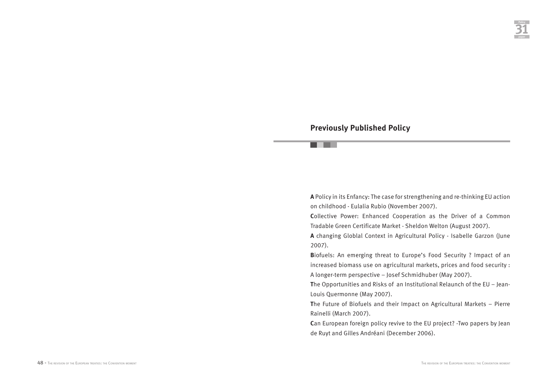## **Previously Published Policy**

. .

**A** Policy in its Enfancy: The case for strengthening and re-thinking EU action on childhood - Eulalia Rubio (November 2007).

**C**ollective Power: Enhanced Cooperation as the Driver of a Common Tradable Green Certificate Market - Sheldon Welton (August 2007).

**A** changing Globlal Context in Agricultural Policy - Isabelle Garzon (June 2007).

**B**iofuels: An emerging threat to Europe's Food Security ? Impact of an increased biomass use on agricultural markets, prices and food security : A longer-term perspective – Josef Schmidhuber (May 2007).

**T**he Opportunities and Risks of an Institutional Relaunch of the EU – Jean-Louis Quermonne (May 2007).

**T**he Future of Biofuels and their Impact on Agricultural Markets – Pierre Rainelli (March 2007).

**C**an European foreign policy revive to the EU project? -Two papers by Jean de Ruyt and Gilles Andréani (December 2006).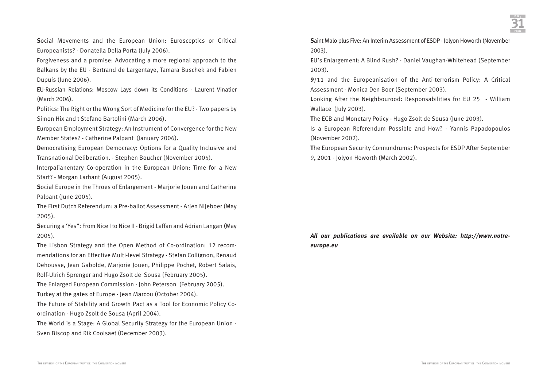**S**ocial Movements and the European Union: Eurosceptics or Critical Europeanists? - Donatella Della Porta (July 2006).

**F**orgiveness and a promise: Advocating a more regional approach to the Balkans by the EU - Bertrand de Largentaye, Tamara Buschek and Fabien Dupuis (June 2006).

**E**U-Russian Relations: Moscow Lays down its Conditions - Laurent Vinatier (March 2006).

**P**olitics: The Right or the Wrong Sort of Medicine for the EU? - Two papers by Simon Hix and t Stefano Bartolini (March 2006).

**E**uropean Employment Strategy: An Instrument of Convergence for the New Member States? - Catherine Palpant (January 2006).

**Democratising European Democracy: Options for a Quality Inclusive and** Transnational Deliberation. - Stephen Boucher (November 2005).

**I**nterpalianentary Co-operation in the European Union: Time for a New Start? - Morgan Larhant (August 2005).

**S**ocial Europe in the Throes of Enlargement - Marjorie Jouen and Catherine Palpant (June 2005).

**T**he First Dutch Referendum: a Pre-ballot Assessment - Arjen Nijeboer (May 2005).

**Securing a 'Yes'': From Nice I to Nice II - Brigid Laffan and Adrian Langan (May** 2005).

**T**he Lisbon Strategy and the Open Method of Co-ordination: 12 recommendations for an Effective Multi-level Strategy - Stefan Collignon, Renaud Dehousse, Jean Gabolde, Marjorie Jouen, Philippe Pochet, Robert Salais, Rolf-Ulrich Sprenger and Hugo Zsolt de Sousa (February 2005).

**T**he Enlarged European Commission - John Peterson (February 2005). **T**urkey at the gates of Europe - Jean Marcou (October 2004).

**T**he Future of Stability and Growth Pact as a Tool for Economic Policy Coordination - Hugo Zsolt de Sousa (April 2004).

**T**he World is a Stage: A Global Security Strategy for the European Union - Sven Biscop and Rik Coolsaet (December 2003).

**S**aint Malo plus Five: An Interim Assessment of ESDP - Jolyon Howorth (November 2003).

**E**U's Enlargement: A Blind Rush? - Daniel Vaughan-Whitehead (September 2003).

**9**/11 and the Europeanisation of the Anti-terrorism Policy: A Critical Assessment - Monica Den Boer (September 2003).

**L**ooking After the Neighbourood: Responsabilities for EU 25 - William Wallace (July 2003).

**T**he ECB and Monetary Policy - Hugo Zsolt de Sousa (June 2003).

Is a European Referendum Possible and How? - Yannis Papadopoulos (November 2002).

**T**he European Security Connundrums: Prospects for ESDP After September 9, 2001 - Jolyon Howorth (March 2002).

*All our publications are available on our Website: http://www.notreeurope.eu*